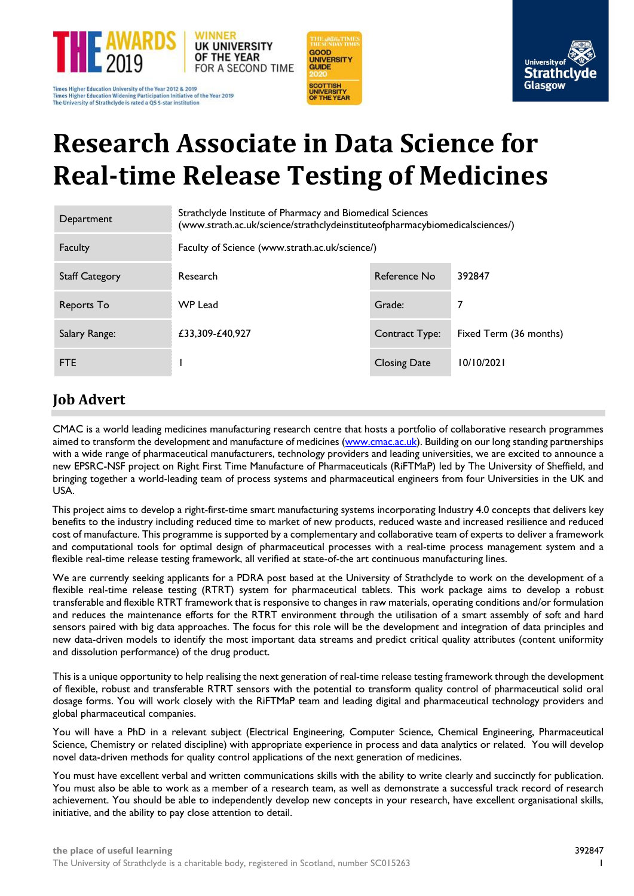

Times Higher Education University of the Year 2012 & 2019<br>Times Higher Education Widening Participation Initiative of the Year 2019 The University of Strathclyde is rated a QS 5-star institution





# **Research Associate in Data Science for Real-time Release Testing of Medicines**

| Department            | Strathclyde Institute of Pharmacy and Biomedical Sciences<br>(www.strath.ac.uk/science/strathclydeinstituteofpharmacybiomedicalsciences/) |                     |                        |
|-----------------------|-------------------------------------------------------------------------------------------------------------------------------------------|---------------------|------------------------|
| Faculty               | Faculty of Science (www.strath.ac.uk/science/)                                                                                            |                     |                        |
| <b>Staff Category</b> | Research                                                                                                                                  | Reference No        | 392847                 |
| Reports To            | <b>WP Lead</b>                                                                                                                            | Grade:              |                        |
| Salary Range:         | £33,309-£40,927                                                                                                                           | Contract Type:      | Fixed Term (36 months) |
| <b>FTE</b>            |                                                                                                                                           | <b>Closing Date</b> | 10/10/2021             |

# **Job Advert**

CMAC is a world leading medicines manufacturing research centre that hosts a portfolio of collaborative research programmes aimed to transform the development and manufacture of medicines [\(www.cmac.ac.uk\)](http://www.cmac.ac.uk/). Building on our long standing partnerships with a wide range of pharmaceutical manufacturers, technology providers and leading universities, we are excited to announce a new EPSRC-NSF project on Right First Time Manufacture of Pharmaceuticals (RiFTMaP) led by The University of Sheffield, and bringing together a world-leading team of process systems and pharmaceutical engineers from four Universities in the UK and USA.

This project aims to develop a right-first-time smart manufacturing systems incorporating Industry 4.0 concepts that delivers key benefits to the industry including reduced time to market of new products, reduced waste and increased resilience and reduced cost of manufacture. This programme is supported by a complementary and collaborative team of experts to deliver a framework and computational tools for optimal design of pharmaceutical processes with a real-time process management system and a flexible real-time release testing framework, all verified at state-of-the art continuous manufacturing lines.

We are currently seeking applicants for a PDRA post based at the University of Strathclyde to work on the development of a flexible real-time release testing (RTRT) system for pharmaceutical tablets. This work package aims to develop a robust transferable and flexible RTRT framework that is responsive to changes in raw materials, operating conditions and/or formulation and reduces the maintenance efforts for the RTRT environment through the utilisation of a smart assembly of soft and hard sensors paired with big data approaches. The focus for this role will be the development and integration of data principles and new data-driven models to identify the most important data streams and predict critical quality attributes (content uniformity and dissolution performance) of the drug product.

This is a unique opportunity to help realising the next generation of real-time release testing framework through the development of flexible, robust and transferable RTRT sensors with the potential to transform quality control of pharmaceutical solid oral dosage forms. You will work closely with the RiFTMaP team and leading digital and pharmaceutical technology providers and global pharmaceutical companies.

You will have a PhD in a relevant subject (Electrical Engineering, Computer Science, Chemical Engineering, Pharmaceutical Science, Chemistry or related discipline) with appropriate experience in process and data analytics or related. You will develop novel data-driven methods for quality control applications of the next generation of medicines.

You must have excellent verbal and written communications skills with the ability to write clearly and succinctly for publication. You must also be able to work as a member of a research team, as well as demonstrate a successful track record of research achievement. You should be able to independently develop new concepts in your research, have excellent organisational skills, initiative, and the ability to pay close attention to detail.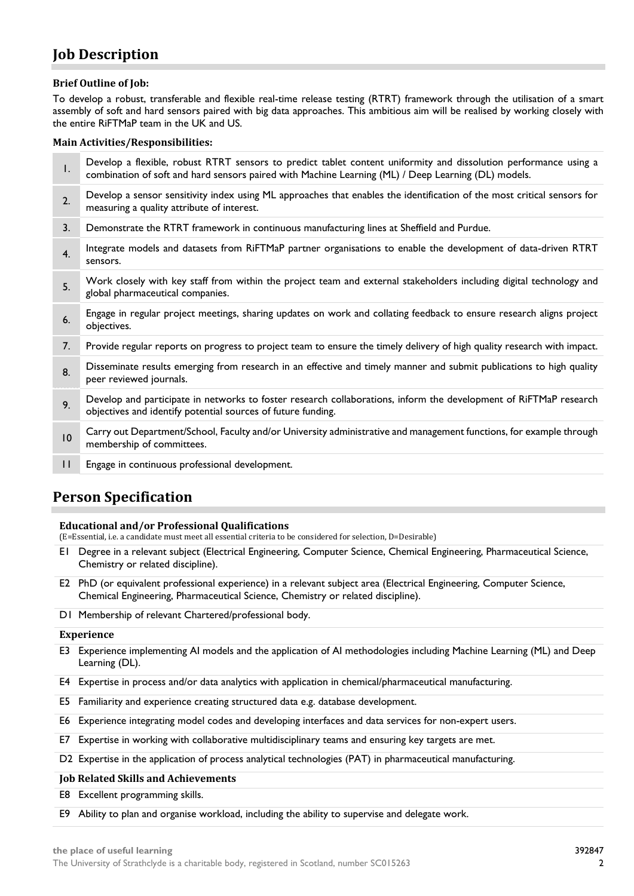# **Job Description**

# **Brief Outline of Job:**

To develop a robust, transferable and flexible real-time release testing (RTRT) framework through the utilisation of a smart assembly of soft and hard sensors paired with big data approaches. This ambitious aim will be realised by working closely with the entire RiFTMaP team in the UK and US.

# **Main Activities/Responsibilities:**

| I.             | Develop a flexible, robust RTRT sensors to predict tablet content uniformity and dissolution performance using a<br>combination of soft and hard sensors paired with Machine Learning (ML) / Deep Learning (DL) models. |
|----------------|-------------------------------------------------------------------------------------------------------------------------------------------------------------------------------------------------------------------------|
| 2.             | Develop a sensor sensitivity index using ML approaches that enables the identification of the most critical sensors for<br>measuring a quality attribute of interest.                                                   |
| 3.             | Demonstrate the RTRT framework in continuous manufacturing lines at Sheffield and Purdue.                                                                                                                               |
| 4 <sub>1</sub> | Integrate models and datasets from RiFTMaP partner organisations to enable the development of data-driven RTRT<br>sensors.                                                                                              |
| 5.             | Work closely with key staff from within the project team and external stakeholders including digital technology and<br>global pharmaceutical companies.                                                                 |
| 6.             | Engage in regular project meetings, sharing updates on work and collating feedback to ensure research aligns project<br>objectives.                                                                                     |
| 7.             | Provide regular reports on progress to project team to ensure the timely delivery of high quality research with impact.                                                                                                 |
| 8.             | Disseminate results emerging from research in an effective and timely manner and submit publications to high quality<br>peer reviewed journals.                                                                         |
| 9.             | Develop and participate in networks to foster research collaborations, inform the development of RiFTMaP research<br>objectives and identify potential sources of future funding.                                       |
| 10             | Carry out Department/School, Faculty and/or University administrative and management functions, for example through<br>membership of committees.                                                                        |
| $\mathbf{H}$   | Engage in continuous professional development.                                                                                                                                                                          |

# **Person Specification**

# **Educational and/or Professional Qualifications**

(E=Essential, i.e. a candidate must meet all essential criteria to be considered for selection, D=Desirable)

- E1 Degree in a relevant subject (Electrical Engineering, Computer Science, Chemical Engineering, Pharmaceutical Science, Chemistry or related discipline).
- E2 PhD (or equivalent professional experience) in a relevant subject area (Electrical Engineering, Computer Science, Chemical Engineering, Pharmaceutical Science, Chemistry or related discipline).
- D1 Membership of relevant Chartered/professional body.

# **Experience**

- E3 Experience implementing AI models and the application of AI methodologies including Machine Learning (ML) and Deep Learning (DL).
- E4 Expertise in process and/or data analytics with application in chemical/pharmaceutical manufacturing.
- E5 Familiarity and experience creating structured data e.g. database development.
- E6 Experience integrating model codes and developing interfaces and data services for non-expert users.
- E7 Expertise in working with collaborative multidisciplinary teams and ensuring key targets are met.
- D2 Expertise in the application of process analytical technologies (PAT) in pharmaceutical manufacturing.

# **Job Related Skills and Achievements**

E8 Excellent programming skills.

E9 Ability to plan and organise workload, including the ability to supervise and delegate work.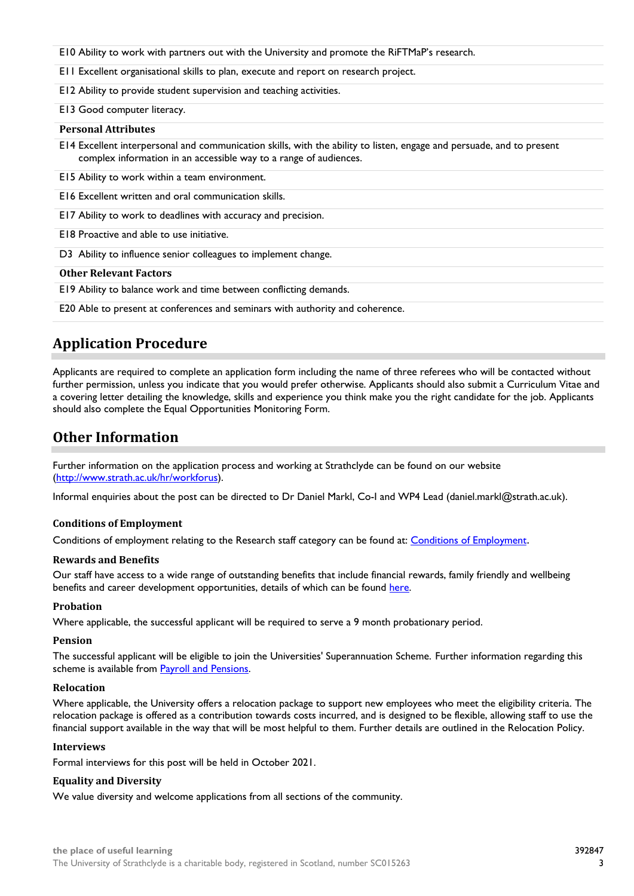- E10 Ability to work with partners out with the University and promote the RiFTMaP's research.
- E11 Excellent organisational skills to plan, execute and report on research project.
- E12 Ability to provide student supervision and teaching activities.

#### E13 Good computer literacy.

#### **Personal Attributes**

E14 Excellent interpersonal and communication skills, with the ability to listen, engage and persuade, and to present complex information in an accessible way to a range of audiences.

E15 Ability to work within a team environment.

E16 Excellent written and oral communication skills.

E17 Ability to work to deadlines with accuracy and precision.

E18 Proactive and able to use initiative.

D3 Ability to influence senior colleagues to implement change.

#### **Other Relevant Factors**

E19 Ability to balance work and time between conflicting demands.

E20 Able to present at conferences and seminars with authority and coherence.

# **Application Procedure**

Applicants are required to complete an application form including the name of three referees who will be contacted without further permission, unless you indicate that you would prefer otherwise. Applicants should also submit a Curriculum Vitae and a covering letter detailing the knowledge, skills and experience you think make you the right candidate for the job. Applicants should also complete the Equal Opportunities Monitoring Form.

# **Other Information**

Further information on the application process and working at Strathclyde can be found on our website [\(http://www.strath.ac.uk/hr/workforus\)](http://www.strath.ac.uk/hr/workforus).

Informal enquiries about the post can be directed to Dr Daniel Markl, Co-I and WP4 Lead (daniel.markl@strath.ac.uk).

#### **Conditions of Employment**

Conditions of employment relating to the Research staff category can be found at: [Conditions of Employment](http://www.strath.ac.uk/hr/careerpathways/informationtermsconditions/).

#### **Rewards and Benefits**

Our staff have access to a wide range of outstanding benefits that include financial rewards, family friendly and wellbeing benefits and career development opportunities, details of which can be found [here.](https://www.strath.ac.uk/workwithus/vacancies/rewardsbenefits/)

#### **Probation**

Where applicable, the successful applicant will be required to serve a 9 month probationary period.

#### **Pension**

The successful applicant will be eligible to join the Universities' Superannuation Scheme. Further information regarding this scheme is available from [Payroll and Pensions.](http://www.strath.ac.uk/finance/financialservices/pensions/)

#### **Relocation**

Where applicable, the University offers a relocation package to support new employees who meet the eligibility criteria. The relocation package is offered as a contribution towards costs incurred, and is designed to be flexible, allowing staff to use the financial support available in the way that will be most helpful to them. Further details are outlined in the Relocation Policy.

### **Interviews**

Formal interviews for this post will be held in October 2021.

# **Equality and Diversity**

We value diversity and welcome applications from all sections of the community.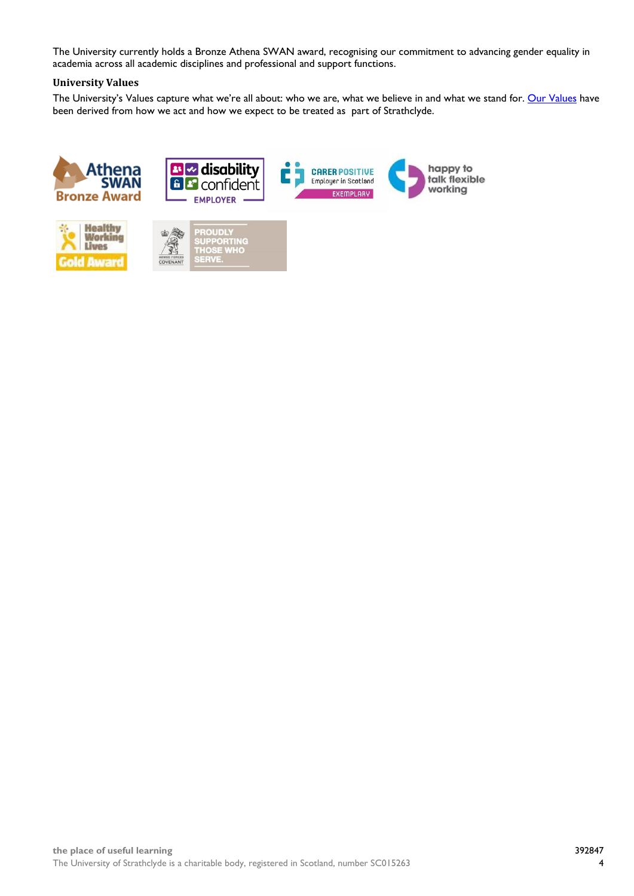The University currently holds a Bronze Athena SWAN award, recognising our commitment to advancing gender equality in academia across all academic disciplines and professional and support functions.

# **University Values**

The University's Values capture what we're all about: who we are, what we believe in and what we stand for. [Our Values](https://www.strath.ac.uk/whystrathclyde/values/) have been derived from how we act and how we expect to be treated as part of Strathclyde.







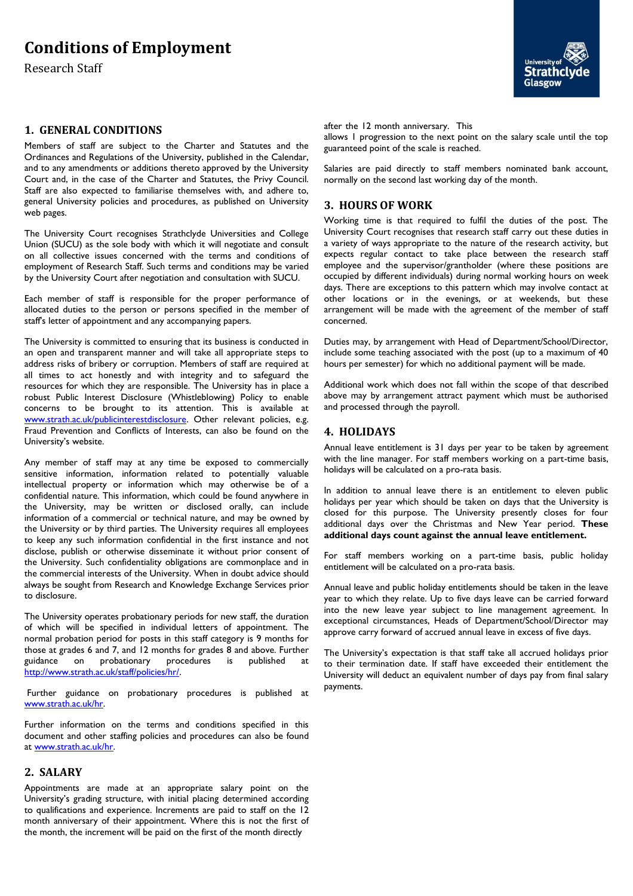# **Conditions of Employment**

Research Staff

# **1. GENERAL CONDITIONS**

Members of staff are subject to the Charter and Statutes and the Ordinances and Regulations of the University, published in the Calendar, and to any amendments or additions thereto approved by the University Court and, in the case of the Charter and Statutes, the Privy Council. Staff are also expected to familiarise themselves with, and adhere to, general University policies and procedures, as published on University web pages.

The University Court recognises Strathclyde Universities and College Union (SUCU) as the sole body with which it will negotiate and consult on all collective issues concerned with the terms and conditions of employment of Research Staff. Such terms and conditions may be varied by the University Court after negotiation and consultation with SUCU.

Each member of staff is responsible for the proper performance of allocated duties to the person or persons specified in the member of staff's letter of appointment and any accompanying papers.

The University is committed to ensuring that its business is conducted in an open and transparent manner and will take all appropriate steps to address risks of bribery or corruption. Members of staff are required at all times to act honestly and with integrity and to safeguard the resources for which they are responsible. The University has in place a robust Public Interest Disclosure (Whistleblowing) Policy to enable concerns to be brought to its attention. This is available at [www.strath.ac.uk/publicinterestdisclosure.](http://www.strath.ac.uk/publicinterestdisclosure) Other relevant policies, e.g. Fraud Prevention and Conflicts of Interests, can also be found on the University's website.

Any member of staff may at any time be exposed to commercially sensitive information, information related to potentially valuable intellectual property or information which may otherwise be of a confidential nature. This information, which could be found anywhere in the University, may be written or disclosed orally, can include information of a commercial or technical nature, and may be owned by the University or by third parties. The University requires all employees to keep any such information confidential in the first instance and not disclose, publish or otherwise disseminate it without prior consent of the University. Such confidentiality obligations are commonplace and in the commercial interests of the University. When in doubt advice should always be sought from Research and Knowledge Exchange Services prior to disclosure.

The University operates probationary periods for new staff, the duration of which will be specified in individual letters of appointment. The normal probation period for posts in this staff category is 9 months for those at grades 6 and 7, and 12 months for grades 8 and above. Further guidance on probationary procedures is published at [http://www.strath.ac.uk/staff/policies/hr/.](http://www.strath.ac.uk/staff/policies/hr/)

Further guidance on probationary procedures is published at [www.strath.ac.uk/hr.](http://www.strath.ac.uk/hr)

Further information on the terms and conditions specified in this document and other staffing policies and procedures can also be found at [www.strath.ac.uk/hr.](http://www.strath.ac.uk/hr)

### **2. SALARY**

Appointments are made at an appropriate salary point on the University's grading structure, with initial placing determined according to qualifications and experience. Increments are paid to staff on the 12 month anniversary of their appointment. Where this is not the first of the month, the increment will be paid on the first of the month directly



after the 12 month anniversary. This

allows 1 progression to the next point on the salary scale until the top guaranteed point of the scale is reached.

Salaries are paid directly to staff members nominated bank account, normally on the second last working day of the month.

# **3. HOURS OF WORK**

Working time is that required to fulfil the duties of the post. The University Court recognises that research staff carry out these duties in a variety of ways appropriate to the nature of the research activity, but expects regular contact to take place between the research staff employee and the supervisor/grantholder (where these positions are occupied by different individuals) during normal working hours on week days. There are exceptions to this pattern which may involve contact at other locations or in the evenings, or at weekends, but these arrangement will be made with the agreement of the member of staff concerned.

Duties may, by arrangement with Head of Department/School/Director, include some teaching associated with the post (up to a maximum of 40 hours per semester) for which no additional payment will be made.

Additional work which does not fall within the scope of that described above may by arrangement attract payment which must be authorised and processed through the payroll.

# **4. HOLIDAYS**

Annual leave entitlement is 31 days per year to be taken by agreement with the line manager. For staff members working on a part-time basis, holidays will be calculated on a pro-rata basis.

In addition to annual leave there is an entitlement to eleven public holidays per year which should be taken on days that the University is closed for this purpose. The University presently closes for four additional days over the Christmas and New Year period. **These additional days count against the annual leave entitlement.**

For staff members working on a part-time basis, public holiday entitlement will be calculated on a pro-rata basis.

Annual leave and public holiday entitlements should be taken in the leave year to which they relate. Up to five days leave can be carried forward into the new leave year subject to line management agreement. In exceptional circumstances, Heads of Department/School/Director may approve carry forward of accrued annual leave in excess of five days.

The University's expectation is that staff take all accrued holidays prior to their termination date. If staff have exceeded their entitlement the University will deduct an equivalent number of days pay from final salary payments.